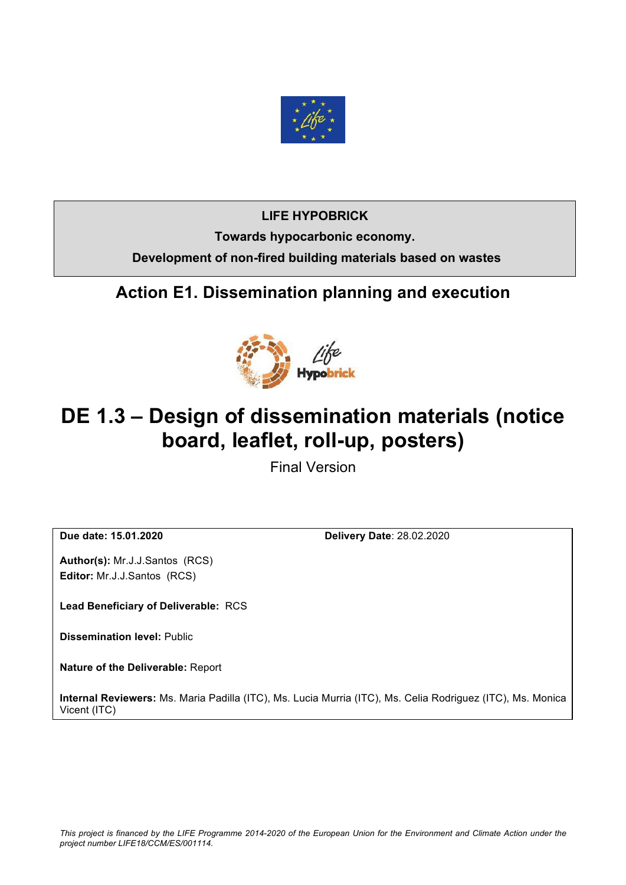

#### **LIFE HYPOBRICK**

**Towards hypocarbonic economy. Development of non-fired building materials based on wastes**

# **Action E1. Dissemination planning and execution**



# **DE 1.3 – Design of dissemination materials (notice board, leaflet, roll-up, posters)**

Final Version

**Due date: 15.01.2020 Delivery Date**: 28.02.2020

**Author(s):** Mr.J.J.Santos (RCS) **Editor:** Mr.J.J.Santos (RCS)

**Lead Beneficiary of Deliverable:** RCS

**Dissemination level:** Public

**Nature of the Deliverable:** Report

**Internal Reviewers:** Ms. Maria Padilla (ITC), Ms. Lucia Murria (ITC), Ms. Celia Rodriguez (ITC), Ms. Monica Vicent (ITC)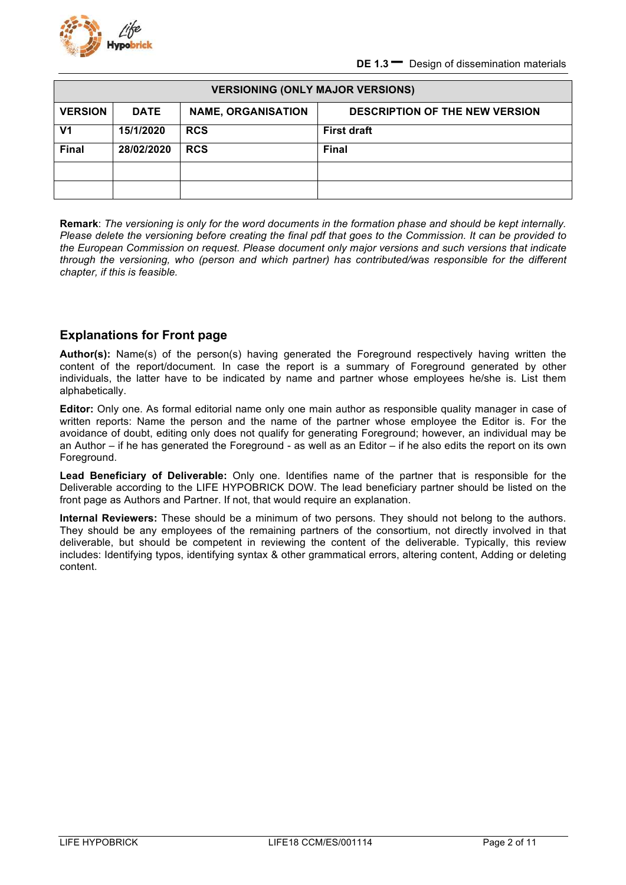

| <b>VERSIONING (ONLY MAJOR VERSIONS)</b> |             |                           |                                       |  |  |  |
|-----------------------------------------|-------------|---------------------------|---------------------------------------|--|--|--|
| <b>VERSION</b>                          | <b>DATE</b> | <b>NAME, ORGANISATION</b> | <b>DESCRIPTION OF THE NEW VERSION</b> |  |  |  |
| V <sub>1</sub>                          | 15/1/2020   | <b>RCS</b>                | <b>First draft</b>                    |  |  |  |
| <b>Final</b>                            | 28/02/2020  | <b>RCS</b>                | <b>Final</b>                          |  |  |  |
|                                         |             |                           |                                       |  |  |  |
|                                         |             |                           |                                       |  |  |  |

**Remark**: *The versioning is only for the word documents in the formation phase and should be kept internally. Please delete the versioning before creating the final pdf that goes to the Commission. It can be provided to the European Commission on request. Please document only major versions and such versions that indicate through the versioning, who (person and which partner) has contributed/was responsible for the different chapter, if this is feasible.*

#### **Explanations for Front page**

**Author(s):** Name(s) of the person(s) having generated the Foreground respectively having written the content of the report/document. In case the report is a summary of Foreground generated by other individuals, the latter have to be indicated by name and partner whose employees he/she is. List them alphabetically.

**Editor:** Only one. As formal editorial name only one main author as responsible quality manager in case of written reports: Name the person and the name of the partner whose employee the Editor is. For the avoidance of doubt, editing only does not qualify for generating Foreground; however, an individual may be an Author – if he has generated the Foreground - as well as an Editor – if he also edits the report on its own Foreground.

**Lead Beneficiary of Deliverable:** Only one. Identifies name of the partner that is responsible for the Deliverable according to the LIFE HYPOBRICK DOW. The lead beneficiary partner should be listed on the front page as Authors and Partner. If not, that would require an explanation.

**Internal Reviewers:** These should be a minimum of two persons. They should not belong to the authors. They should be any employees of the remaining partners of the consortium, not directly involved in that deliverable, but should be competent in reviewing the content of the deliverable. Typically, this review includes: Identifying typos, identifying syntax & other grammatical errors, altering content, Adding or deleting content.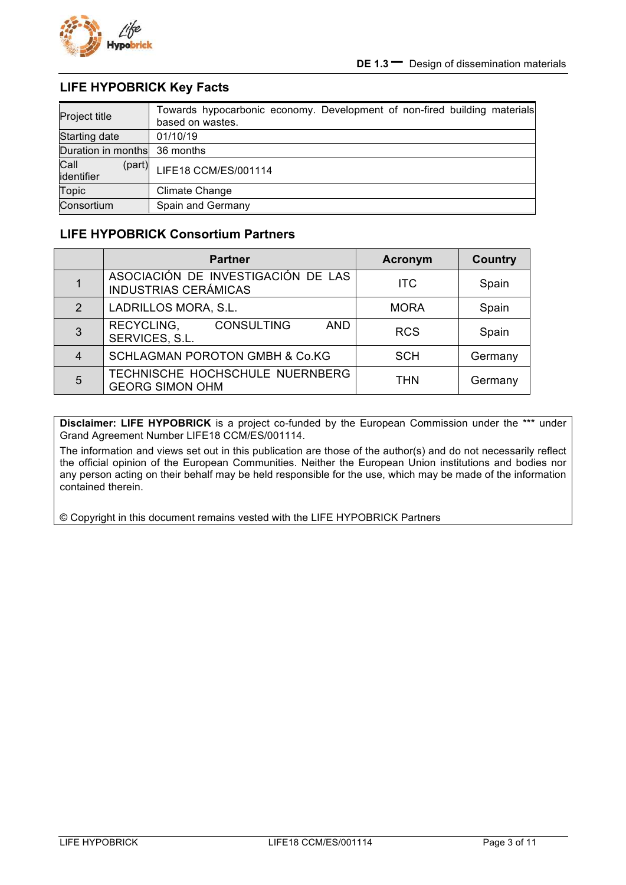

#### **LIFE HYPOBRICK Key Facts**

| Project title                | Towards hypocarbonic economy. Development of non-fired building materials<br>based on wastes. |
|------------------------------|-----------------------------------------------------------------------------------------------|
| Starting date                | 01/10/19                                                                                      |
| Duration in months 36 months |                                                                                               |
| Call<br>(part)<br>identifier | LIFE18 CCM/ES/001114                                                                          |
| Topic                        | Climate Change                                                                                |
| Consortium                   | Spain and Germany                                                                             |

#### **LIFE HYPOBRICK Consortium Partners**

|               | <b>Partner</b>                                                    | <b>Acronym</b> | <b>Country</b> |
|---------------|-------------------------------------------------------------------|----------------|----------------|
|               | ASOCIACIÓN DE INVESTIGACIÓN DE LAS<br><b>INDUSTRIAS CERÁMICAS</b> | <b>ITC</b>     | Spain          |
| $\mathcal{P}$ | LADRILLOS MORA, S.L.                                              | <b>MORA</b>    | Spain          |
| 3             | <b>CONSULTING</b><br>RECYCLING,<br><b>AND</b><br>SERVICES, S.L.   | <b>RCS</b>     | Spain          |
| 4             | <b>SCHLAGMAN POROTON GMBH &amp; Co.KG</b>                         | <b>SCH</b>     | Germany        |
| 5             | TECHNISCHE HOCHSCHULE NUERNBERG<br><b>GEORG SIMON OHM</b>         | <b>THN</b>     | Germany        |

**Disclaimer: LIFE HYPOBRICK** is a project co-funded by the European Commission under the \*\*\* under Grand Agreement Number LIFE18 CCM/ES/001114.

The information and views set out in this publication are those of the author(s) and do not necessarily reflect the official opinion of the European Communities. Neither the European Union institutions and bodies nor any person acting on their behalf may be held responsible for the use, which may be made of the information contained therein.

© Copyright in this document remains vested with the LIFE HYPOBRICK Partners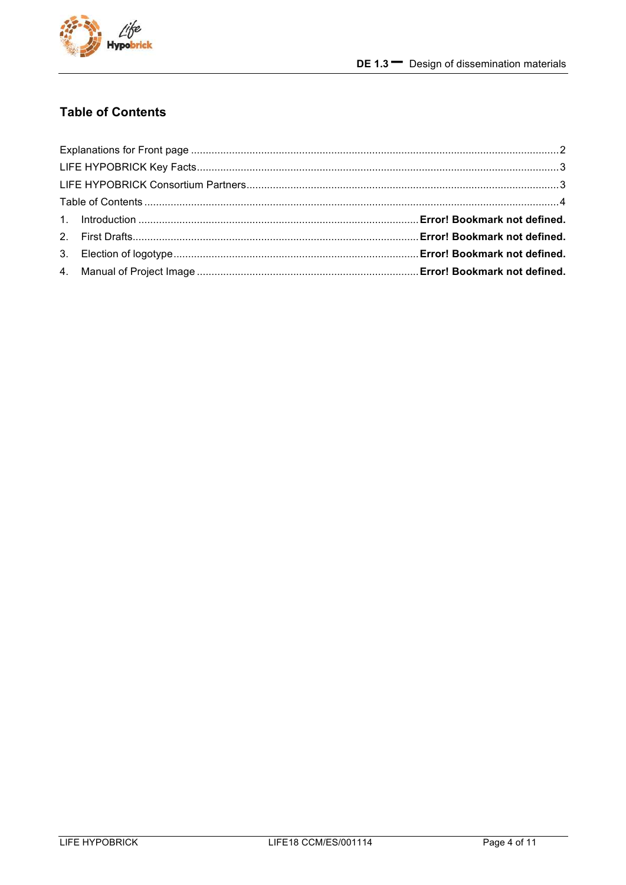

## **Table of Contents**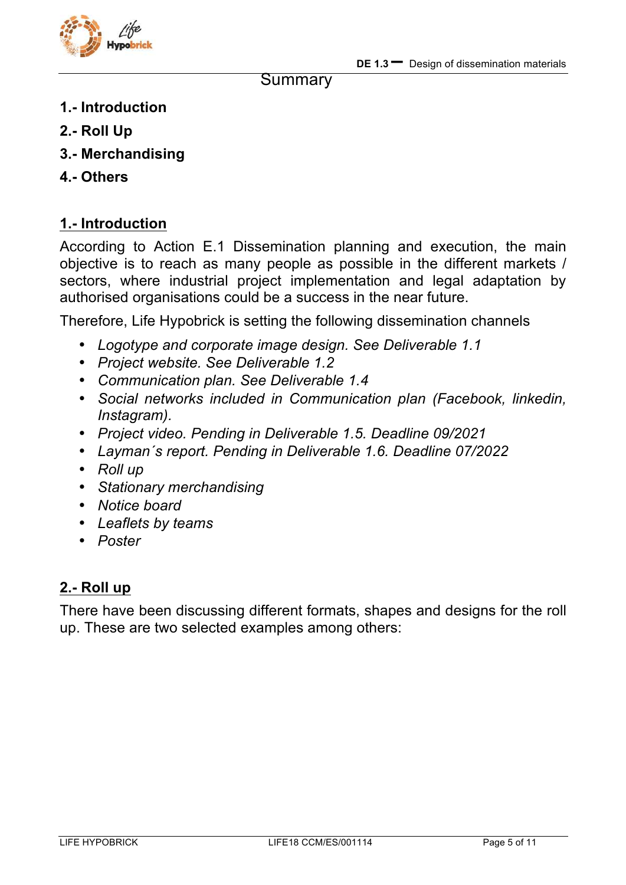

#### **Summary**

- **1.- Introduction**
- **2.- Roll Up**
- **3.- Merchandising**
- **4.- Others**

## **1.- Introduction**

According to Action E.1 Dissemination planning and execution, the main objective is to reach as many people as possible in the different markets / sectors, where industrial project implementation and legal adaptation by authorised organisations could be a success in the near future.

Therefore, Life Hypobrick is setting the following dissemination channels

- *Logotype and corporate image design. See Deliverable 1.1*
- *Project website. See Deliverable 1.2*
- *Communication plan. See Deliverable 1.4*
- *Social networks included in Communication plan (Facebook, linkedin, Instagram).*
- *Project video. Pending in Deliverable 1.5. Deadline 09/2021*
- *Layman´s report. Pending in Deliverable 1.6. Deadline 07/2022*
- *Roll up*
- *Stationary merchandising*
- *Notice board*
- *Leaflets by teams*
- *Poster*

## **2.- Roll up**

There have been discussing different formats, shapes and designs for the roll up. These are two selected examples among others: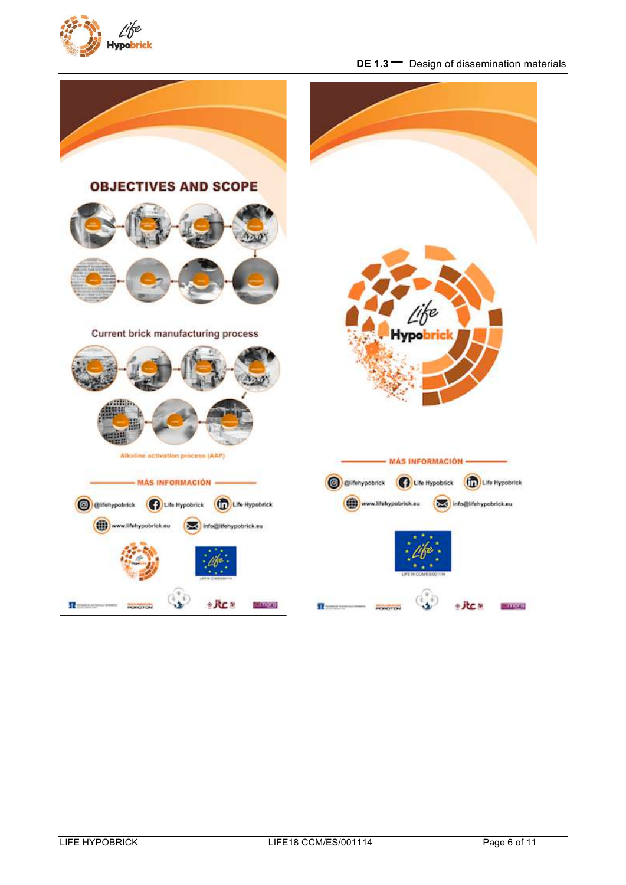

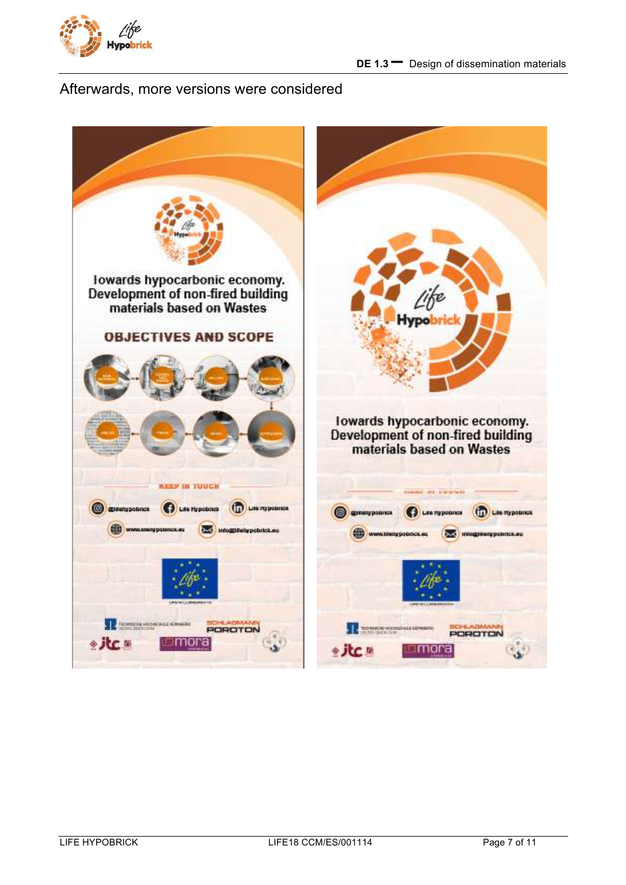![](_page_6_Picture_0.jpeg)

#### Afterwards, more versions were considered

![](_page_6_Picture_3.jpeg)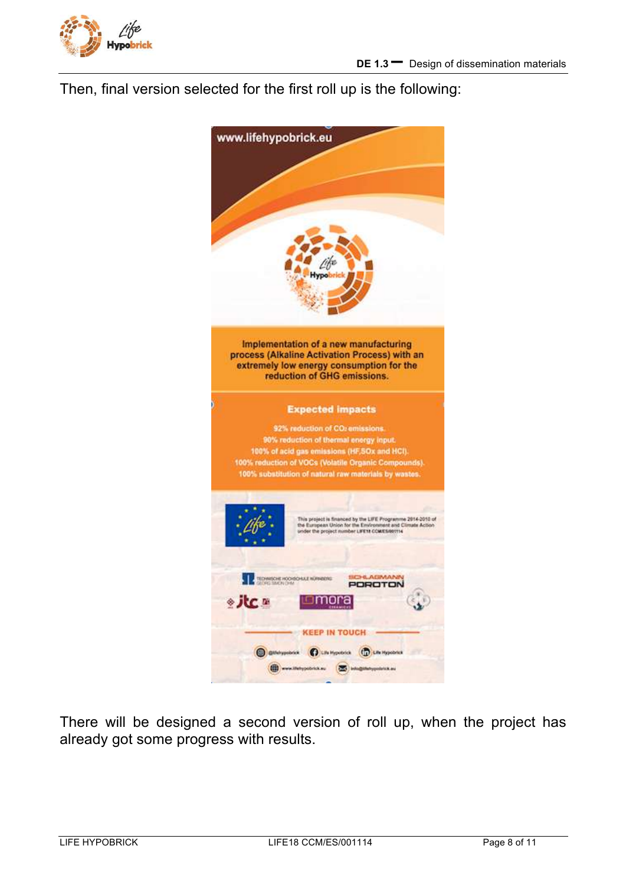![](_page_7_Picture_0.jpeg)

Then, final version selected for the first roll up is the following:

![](_page_7_Picture_3.jpeg)

There will be designed a second version of roll up, when the project has already got some progress with results.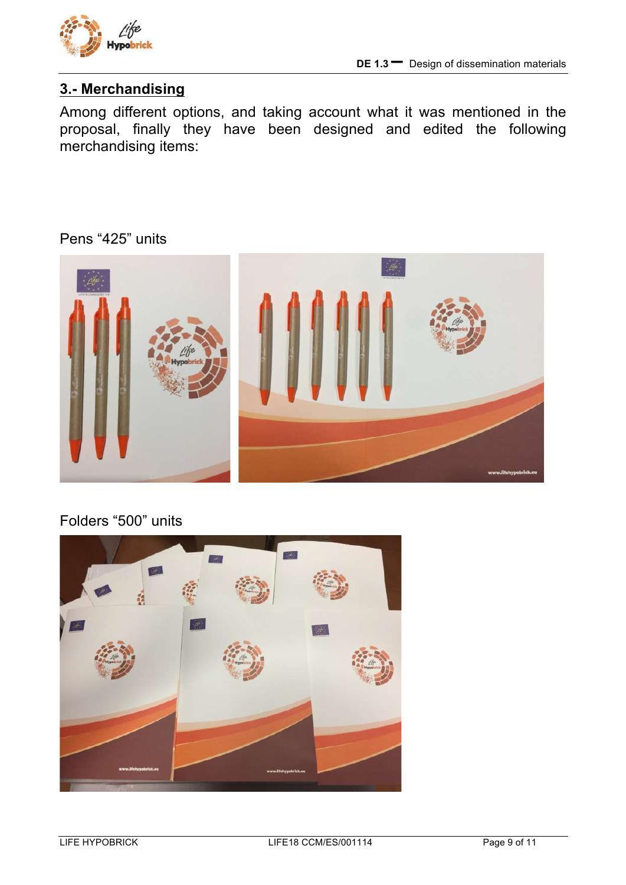![](_page_8_Picture_0.jpeg)

## **3.- Merchandising**

Among different options, and taking account what it was mentioned in the proposal, finally they have been designed and edited the following merchandising items:

## Pens "425" units

![](_page_8_Picture_5.jpeg)

## Folders "500" units

![](_page_8_Picture_7.jpeg)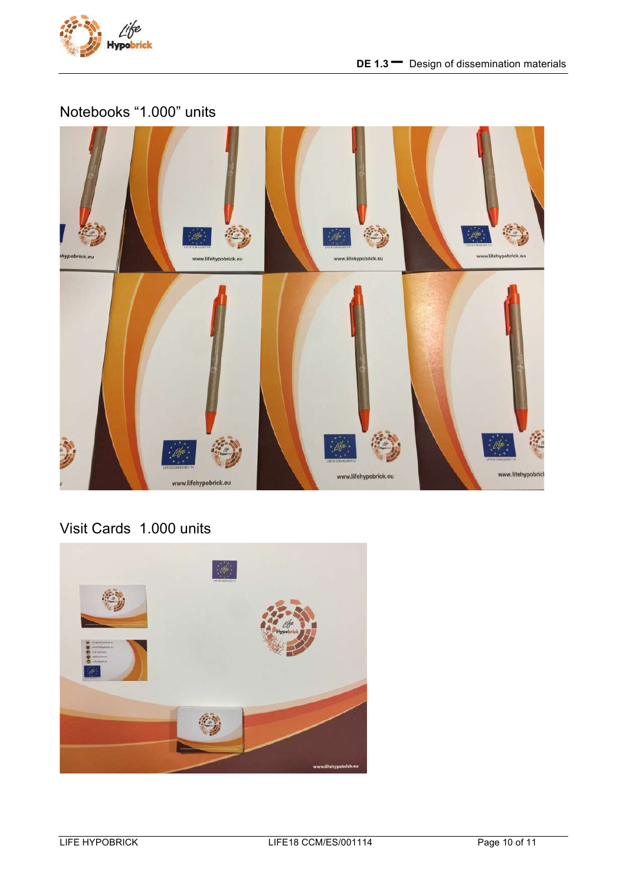![](_page_9_Picture_0.jpeg)

## Notebooks "1.000" units

![](_page_9_Picture_3.jpeg)

# Visit Cards 1.000 units

![](_page_9_Picture_5.jpeg)